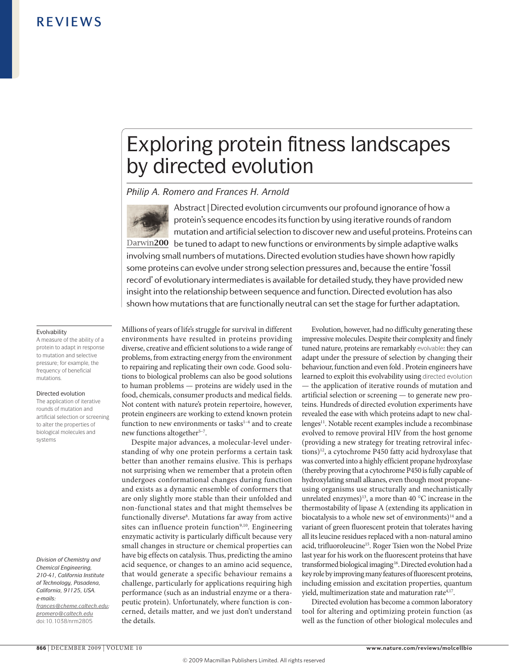# Exploring protein fitness landscapes by directed evolution

insight into the relationship between sequence and function. Directed evolution has also shown how mutations that are functionally neutral can set the stage for further adaptation.

### *Philip A. Romero and Frances H. Arnold*



Abstract | Directed evolution circumvents our profound ignorance of how a protein's sequence encodes its function by using iterative rounds of random mutation and artificial selection to discover new and useful proteins. Proteins can  $\overline{\text{Darwin200}}$  be tuned to adapt to new functions or environments by simple adaptive walks involving small numbers of mutations. Directed evolution studies have shown how rapidly some proteins can evolve under strong selection pressures and, because the entire 'fossil record' of evolutionary intermediates is available for detailed study, they have provided new

### Evolvability

A measure of the ability of a protein to adapt in response to mutation and selective pressure; for example, the frequency of beneficial mutations.

#### Directed evolution

The application of iterative rounds of mutation and artificial selection or screening to alter the properties of biological molecules and systems

*Division of Chemistry and Chemical Engineering, 210‑41, California Institute of Technology, Pasadena, California, 91125, USA. e‑mails: [frances@cheme.caltech.edu](mailto:frances@cheme.caltech.edu); [promero@caltech.edu](mailto:promero@caltech.edu)* doi:10.1038/nrm2805

Millions of years of life's struggle for survival in different environments have resulted in proteins providing diverse, creative and efficient solutions to a wide range of problems, from extracting energy from the environment to repairing and replicating their own code. Good solutions to biological problems can also be good solutions to human problems — proteins are widely used in the food, chemicals, consumer products and medical fields. Not content with nature's protein repertoire, however, protein engineers are working to extend known protein function to new environments or tasks<sup>1-4</sup> and to create new functions altogether<sup>5-7</sup>.

Despite major advances, a molecular-level understanding of why one protein performs a certain task better than another remains elusive. This is perhaps not surprising when we remember that a protein often undergoes conformational changes during function and exists as a dynamic ensemble of conformers that are only slightly more stable than their unfolded and non-functional states and that might themselves be functionally diverse<sup>8</sup>. Mutations far away from active sites can influence protein function<sup>9,10</sup>. Engineering enzymatic activity is particularly difficult because very small changes in structure or chemical properties can have big effects on catalysis. Thus, predicting the amino acid sequence, or changes to an amino acid sequence, that would generate a specific behaviour remains a challenge, particularly for applications requiring high performance (such as an industrial enzyme or a therapeutic protein). Unfortunately, where function is concerned, details matter, and we just don't understand the details.

Evolution, however, had no difficulty generating these impressive molecules. Despite their complexity and finely tuned nature, proteins are remarkably evolvable: they can adapt under the pressure of selection by changing their behaviour, function and even fold . Protein engineers have learned to exploit this evolvability using directed evolution — the application of iterative rounds of mutation and artificial selection or screening — to generate new proteins. Hundreds of directed evolution experiments have revealed the ease with which proteins adapt to new challenges<sup>11</sup>. Notable recent examples include a recombinase evolved to remove proviral HIV from the host genome (providing a new strategy for treating retroviral infections)12, a cytochrome P450 fatty acid hydroxylase that was converted into a highly efficient propane hydroxylase (thereby proving that a cytochrome P450 is fully capable of hydroxylating small alkanes, even though most propaneusing organisms use structurally and mechanistically unrelated enzymes)<sup>13</sup>, a more than 40 °C increase in the thermostability of lipase A (extending its application in biocatalysis to a whole new set of environments) $14$  and a variant of green fluorescent protein that tolerates having all its leucine residues replaced with a non-natural amino acid, trifluoroleucine<sup>15</sup>. Roger Tsien won the Nobel Prize last year for his work on the fluorescent proteins that have transformed biological imaging<sup>16</sup>. Directed evolution had a key role by improving many features of fluorescent proteins, including emission and excitation properties, quantum yield, multimerization state and maturation rate<sup>4,17</sup>.

Directed evolution has become a common laboratory tool for altering and optimizing protein function (as well as the function of other biological molecules and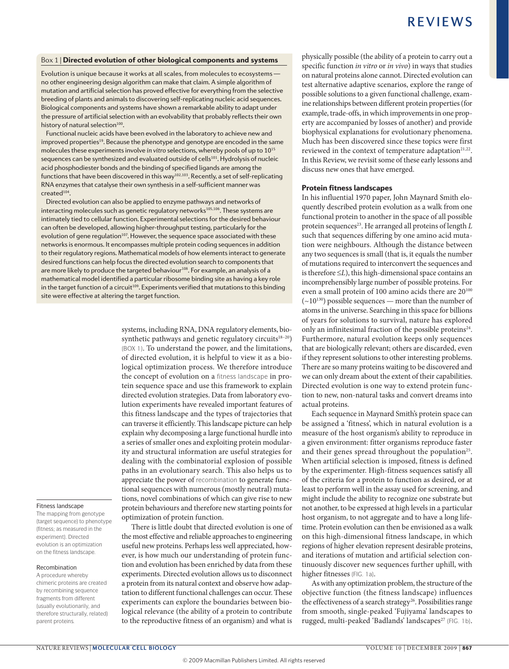### Box 1 | Directed evolution of other biological components and systems

Evolution is unique because it works at all scales, from molecules to ecosystems no other engineering design algorithm can make that claim. A simple algorithm of mutation and artificial selection has proved effective for everything from the selective breeding of plants and animals to discovering self-replicating nucleic acid sequences. Biological components and systems have shown a remarkable ability to adapt under the pressure of artificial selection with an evolvability that probably reflects their own history of natural selection<sup>100</sup>.

Functional nucleic acids have been evolved in the laboratory to achieve new and improved properties<sup>19</sup>. Because the phenotype and genotype are encoded in the same molecules these experiments involve *in vitro* selections, whereby pools of up to 1015 sequences can be synthesized and evaluated outside of cells<sup>101</sup>. Hydrolysis of nucleic acid phosphodiester bonds and the binding of specified ligands are among the functions that have been discovered in this way<sup>102,103</sup>. Recently, a set of self-replicating RNA enzymes that catalyse their own synthesis in a self-sufficient manner was  $created<sup>104</sup>.$ 

Directed evolution can also be applied to enzyme pathways and networks of interacting molecules such as genetic regulatory networks<sup>105,106</sup>. These systems are intimately tied to cellular function. Experimental selections for the desired behaviour can often be developed, allowing higher-throughput testing, particularly for the evolution of gene regulation<sup>107</sup>. However, the sequence space associated with these networks is enormous. It encompasses multiple protein coding sequences in addition to their regulatory regions. Mathematical models of how elements interact to generate desired functions can help focus the directed evolution search to components that are more likely to produce the targeted behaviour<sup>108</sup>. For example, an analysis of a mathematical model identified a particular ribosome binding site as having a key role in the target function of a circuit<sup>109</sup>. Experiments verified that mutations to this binding site were effective at altering the target function.

> systems, including RNA, DNA regulatory elements, biosynthetic pathways and genetic regulatory circuits $18-20$ ) (BOX 1). To understand the power, and the limitations, of directed evolution, it is helpful to view it as a biological optimization process. We therefore introduce the concept of evolution on a fitness landscape in protein sequence space and use this framework to explain directed evolution strategies. Data from laboratory evolution experiments have revealed important features of this fitness landscape and the types of trajectories that can traverse it efficiently. This landscape picture can help explain why decomposing a large functional hurdle into a series of smaller ones and exploiting protein modularity and structural information are useful strategies for dealing with the combinatorial explosion of possible paths in an evolutionary search. This also helps us to appreciate the power of recombination to generate functional sequences with numerous (mostly neutral) mutations, novel combinations of which can give rise to new protein behaviours and therefore new starting points for optimization of protein function.

> There is little doubt that directed evolution is one of the most effective and reliable approaches to engineering useful new proteins. Perhaps less well appreciated, however, is how much our understanding of protein function and evolution has been enriched by data from these experiments. Directed evolution allows us to disconnect a protein from its natural context and observe how adaptation to different functional challenges can occur. These experiments can explore the boundaries between biological relevance (the ability of a protein to contribute to the reproductive fitness of an organism) and what is

#### Fitness landscape

The mapping from genotype (target sequence) to phenotype (fitness; as measured in the experiment). Directed evolution is an optimization on the fitness landscape.

#### Recombination

A procedure whereby chimeric proteins are created by recombining sequence fragments from different (usually evolutionarily, and therefore structurally, related) parent proteins.

physically possible (the ability of a protein to carry out a specific function *in vitro* or *in vivo*) in ways that studies on natural proteins alone cannot. Directed evolution can test alternative adaptive scenarios, explore the range of possible solutions to a given functional challenge, examine relationships between different protein properties (for example, trade-offs, in which improvements in one property are accompanied by losses of another) and provide biophysical explanations for evolutionary phenomena. Much has been discovered since these topics were first reviewed in the context of temperature adaptation<sup>21,22</sup>. In this Review, we revisit some of these early lessons and discuss new ones that have emerged.

### Protein fitness landscapes

In his influential 1970 paper, John Maynard Smith eloquently described protein evolution as a walk from one functional protein to another in the space of all possible protein sequences<sup>23</sup>. He arranged all proteins of length *L* such that sequences differing by one amino acid mutation were neighbours. Although the distance between any two sequences is small (that is, it equals the number of mutations required to interconvert the sequences and is therefore ≤*L*), this high-dimensional space contains an incomprehensibly large number of possible proteins. For even a small protein of 100 amino acids there are 20<sup>100</sup>  $({\sim}10^{130})$  possible sequences — more than the number of atoms in the universe. Searching in this space for billions of years for solutions to survival, nature has explored only an infinitesimal fraction of the possible proteins<sup>24</sup>. Furthermore, natural evolution keeps only sequences that are biologically relevant; others are discarded, even if they represent solutions to other interesting problems. There are so many proteins waiting to be discovered and we can only dream about the extent of their capabilities. Directed evolution is one way to extend protein function to new, non-natural tasks and convert dreams into actual proteins.

Each sequence in Maynard Smith's protein space can be assigned a 'fitness', which in natural evolution is a measure of the host organism's ability to reproduce in a given environment: fitter organisms reproduce faster and their genes spread throughout the population<sup>25</sup>. When artificial selection is imposed, fitness is defined by the experimenter. High-fitness sequences satisfy all of the criteria for a protein to function as desired, or at least to perform well in the assay used for screening, and might include the ability to recognize one substrate but not another, to be expressed at high levels in a particular host organism, to not aggregate and to have a long lifetime. Protein evolution can then be envisioned as a walk on this high-dimensional fitness landscape, in which regions of higher elevation represent desirable proteins, and iterations of mutation and artificial selection continuously discover new sequences further uphill, with higher fitnesses (FIG. 1a).

As with any optimization problem, the structure of the objective function (the fitness landscape) influences the effectiveness of a search strategy<sup>26</sup>. Possibilities range from smooth, single-peaked 'Fujiyama' landscapes to rugged, multi-peaked 'Badlands' landscapes<sup>27</sup> (FIG. 1b).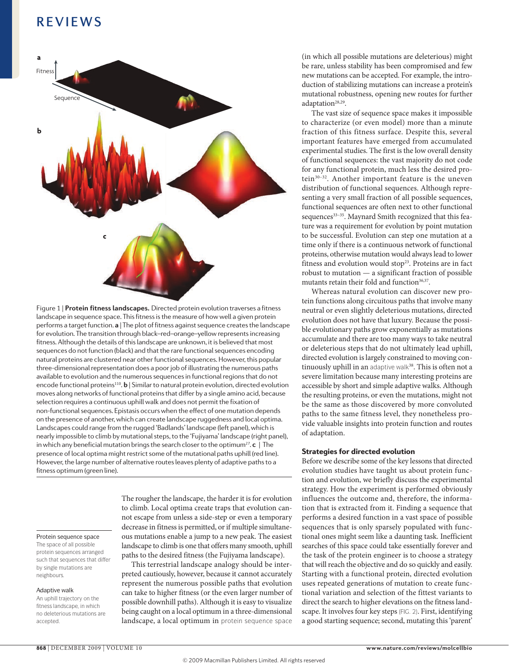

landscape in sequence space. This fitness is the measure of how well a given protein Figure 1 | **Protein fitness landscapes.** Directed protein evolution traverses a fitness performs a target function. **a** | The plot of fitness against sequence creates the landscape for evolution. The transition through black–red–orange–yellow represents increasing fitness. Although the details of this landscape are unknown, it is believed that most sequences do not function (black) and that the rare functional sequences encoding natural proteins are clustered near other functional sequences. However, this popular three-dimensional representation does a poor job of illustrating the numerous paths available to evolution and the numerous sequences in functional regions that do not encode functional proteins<sup>110</sup>. **b** | Similar to natural protein evolution, directed evolution moves along networks of functional proteins that differ by a single amino acid, because selection requires a continuous uphill walk and does not permit the fixation of non-functional sequences. Epistasis occurs when the effect of one mutation depends on the presence of another, which can create landscape ruggedness and local optima. Landscapes could range from the rugged 'Badlands' landscape (left panel), which is nearly impossible to climb by mutational steps, to the 'Fujiyama' landscape (right panel), in which any beneficial mutation brings the search closer to the optimum<sup>27</sup>. **c** | The presence of local optima might restrict some of the mutational paths uphill (red line). However, the large number of alternative routes leaves plenty of adaptive paths to a fitness optimum (green line).

### Protein sequence space

The space of all possible protein sequences arranged such that sequences that differ by single mutations are neighbours.

### Adaptive walk

An uphill trajectory on the fitness landscape, in which no deleterious mutations are accepted.

The rougher the landscape, the harder it is for evolution to climb. local optima create traps that evolution cannot escape from unless a side-step or even a temporary decrease in fitness is permitted, or if multiple simultaneous mutations enable a jump to a new peak. The easiest landscape to climb is one that offers many smooth, uphill paths to the desired fitness (the Fujiyama landscape).

This terrestrial landscape analogy should be interpreted cautiously, however, because it cannot accurately represent the numerous possible paths that evolution can take to higher fitness (or the even larger number of possible downhill paths). Although it is easy to visualize being caught on a local optimum in a three-dimensional landscape, a local optimum in protein sequence space (in which all possible mutations are deleterious) might be rare, unless stability has been compromised and few new mutations can be accepted. For example, the introduction of stabilizing mutations can increase a protein's mutational robustness, opening new routes for further adaptation<sup>28,29</sup>.

The vast size of sequence space makes it impossible to characterize (or even model) more than a minute fraction of this fitness surface. Despite this, several important features have emerged from accumulated experimental studies. The first is the low overall density of functional sequences: the vast majority do not code for any functional protein, much less the desired protein30–32. Another important feature is the uneven distribution of functional sequences. Although representing a very small fraction of all possible sequences, functional sequences are often next to other functional sequences<sup>33-35</sup>. Maynard Smith recognized that this feature was a requirement for evolution by point mutation to be successful. Evolution can step one mutation at a time only if there is a continuous network of functional proteins, otherwise mutation would always lead to lower fitness and evolution would stop<sup>23</sup>. Proteins are in fact robust to mutation — a significant fraction of possible mutants retain their fold and function<sup>36,37</sup>.

Whereas natural evolution can discover new protein functions along circuitous paths that involve many neutral or even slightly deleterious mutations, directed evolution does not have that luxury. because the possible evolutionary paths grow exponentially as mutations accumulate and there are too many ways to take neutral or deleterious steps that do not ultimately lead uphill, directed evolution is largely constrained to moving continuously uphill in an adaptive walk<sup>38</sup>. This is often not a severe limitation because many interesting proteins are accessible by short and simple adaptive walks. Although the resulting proteins, or even the mutations, might not be the same as those discovered by more convoluted paths to the same fitness level, they nonetheless provide valuable insights into protein function and routes of adaptation.

### Strategies for directed evolution

before we describe some of the key lessons that directed evolution studies have taught us about protein function and evolution, we briefly discuss the experimental strategy. How the experiment is performed obviously influences the outcome and, therefore, the information that is extracted from it. Finding a sequence that performs a desired function in a vast space of possible sequences that is only sparsely populated with functional ones might seem like a daunting task. Inefficient searches of this space could take essentially forever and the task of the protein engineer is to choose a strategy that will reach the objective and do so quickly and easily. Starting with a functional protein, directed evolution uses repeated generations of mutation to create functional variation and selection of the fittest variants to direct the search to higher elevations on the fitness landscape. It involves four key steps (FIG. 2). First, identifying a good starting sequence; second, mutating this 'parent'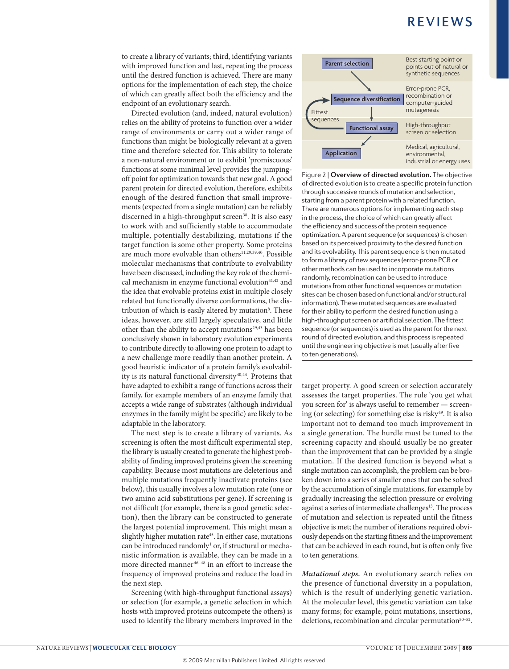to create a library of variants; third, identifying variants with improved function and last, repeating the process until the desired function is achieved. There are many options for the implementation of each step, the choice of which can greatly affect both the efficiency and the endpoint of an evolutionary search.

Directed evolution (and, indeed, natural evolution) relies on the ability of proteins to function over a wider range of environments or carry out a wider range of functions than might be biologically relevant at a given time and therefore selected for. This ability to tolerate a non-natural environment or to exhibit 'promiscuous' functions at some minimal level provides the jumpingoff point for optimization towards that new goal. A good parent protein for directed evolution, therefore, exhibits enough of the desired function that small improvements (expected from a single mutation) can be reliably discerned in a high-throughput screen<sup>38</sup>. It is also easy to work with and sufficiently stable to accommodate multiple, potentially destabilizing, mutations if the target function is some other property. Some proteins are much more evolvable than others<sup>11,29,39,40</sup>. Possible molecular mechanisms that contribute to evolvability have been discussed, including the key role of the chemical mechanism in enzyme functional evolution<sup>41,42</sup> and the idea that evolvable proteins exist in multiple closely related but functionally diverse conformations, the distribution of which is easily altered by mutation<sup>8</sup>. These ideas, however, are still largely speculative, and little other than the ability to accept mutations<sup>29,43</sup> has been conclusively shown in laboratory evolution experiments to contribute directly to allowing one protein to adapt to a new challenge more readily than another protein. A good heuristic indicator of a protein family's evolvability is its natural functional diversity<sup>40,44</sup>. Proteins that have adapted to exhibit a range of functions across their family, for example members of an enzyme family that accepts a wide range of substrates (although individual enzymes in the family might be specific) are likely to be adaptable in the laboratory.

The next step is to create a library of variants. As screening is often the most difficult experimental step, the library is usually created to generate the highest probability of finding improved proteins given the screening capability. because most mutations are deleterious and multiple mutations frequently inactivate proteins (see below), this usually involves a low mutation rate (one or two amino acid substitutions per gene). If screening is not difficult (for example, there is a good genetic selection), then the library can be constructed to generate the largest potential improvement. This might mean a slightly higher mutation rate<sup>45</sup>. In either case, mutations can be introduced randomly<sup>1</sup> or, if structural or mechanistic information is available, they can be made in a more directed manner<sup>46-48</sup> in an effort to increase the frequency of improved proteins and reduce the load in the next step.

Screening (with high-throughput functional assays) or selection (for example, a genetic selection in which hosts with improved proteins outcompete the others) is used to identify the library members improved in the



of directed evolution is to create a specific protein function Figure 2 | **overview of directed evolution.** The objective through successive rounds of mutation and selection, starting from a parent protein with a related function. There are numerous options for implementing each step in the process, the choice of which can greatly affect the efficiency and success of the protein sequence optimization. A parent sequence (or sequences) is chosen based on its perceived proximity to the desired function and its evolvability. This parent sequence is then mutated to form a library of new sequences (error-prone PCR or other methods can be used to incorporate mutations randomly, recombination can be used to introduce mutations from other functional sequences or mutation sites can be chosen based on functional and/or structural information). These mutated sequences are evaluated for their ability to perform the desired function using a high-throughput screen or artificial selection. The fittest sequence (or sequences) is used as the parent for the next round of directed evolution, and this process is repeated until the engineering objective is met (usually after five to ten generations).

target property. A good screen or selection accurately assesses the target properties. The rule 'you get what you screen for' is always useful to remember — screening (or selecting) for something else is risky<sup>49</sup>. It is also important not to demand too much improvement in a single generation. The hurdle must be tuned to the screening capacity and should usually be no greater than the improvement that can be provided by a single mutation. If the desired function is beyond what a single mutation can accomplish, the problem can be broken down into a series of smaller ones that can be solved by the accumulation of single mutations, for example by gradually increasing the selection pressure or evolving against a series of intermediate challenges<sup>13</sup>. The process of mutation and selection is repeated until the fitness objective is met; the number of iterations required obviously depends on the starting fitness and the improvement that can be achieved in each round, but is often only five to ten generations.

*Mutational steps.* An evolutionary search relies on the presence of functional diversity in a population, which is the result of underlying genetic variation. At the molecular level, this genetic variation can take many forms; for example, point mutations, insertions, deletions, recombination and circular permutation<sup>50-52</sup>.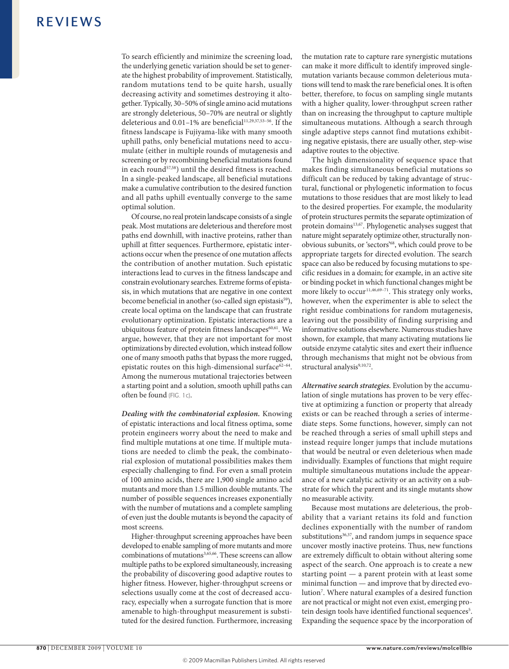To search efficiently and minimize the screening load, the underlying genetic variation should be set to generate the highest probability of improvement. Statistically, random mutations tend to be quite harsh, usually decreasing activity and sometimes destroying it altogether. Typically, 30–50% of single amino acid mutations are strongly deleterious, 50–70% are neutral or slightly deleterious and  $0.01-1%$  are beneficial<sup>11,29,37,53-56</sup>. If the fitness landscape is Fujiyama-like with many smooth uphill paths, only beneficial mutations need to accumulate (either in multiple rounds of mutagenesis and screening or by recombining beneficial mutations found in each round57,58) until the desired fitness is reached. In a single-peaked landscape, all beneficial mutations make a cumulative contribution to the desired function and all paths uphill eventually converge to the same optimal solution.

of course, no real protein landscape consists of a single peak. Most mutations are deleterious and therefore most paths end downhill, with inactive proteins, rather than uphill at fitter sequences. Furthermore, epistatic interactions occur when the presence of one mutation affects the contribution of another mutation. Such epistatic interactions lead to curves in the fitness landscape and constrain evolutionary searches. Extreme forms of epistasis, in which mutations that are negative in one context become beneficial in another (so-called sign epistasis<sup>59</sup>), create local optima on the landscape that can frustrate evolutionary optimization. Epistatic interactions are a ubiquitous feature of protein fitness landscapes<sup>60,61</sup>. We argue, however, that they are not important for most optimizations by directed evolution, which instead follow one of many smooth paths that bypass the more rugged, epistatic routes on this high-dimensional surface<sup>62-64</sup>. Among the numerous mutational trajectories between a starting point and a solution, smooth uphill paths can often be found (FIG. 1c).

*Dealing with the combinatorial explosion.* Knowing of epistatic interactions and local fitness optima, some protein engineers worry about the need to make and find multiple mutations at one time. If multiple mutations are needed to climb the peak, the combinatorial explosion of mutational possibilities makes them especially challenging to find. For even a small protein of 100 amino acids, there are 1,900 single amino acid mutants and more than 1.5 million double mutants. The number of possible sequences increases exponentially with the number of mutations and a complete sampling of even just the double mutants is beyond the capacity of most screens.

Higher-throughput screening approaches have been developed to enable sampling of more mutants and more combinations of mutations<sup>3,65,66</sup>. These screens can allow multiple paths to be explored simultaneously, increasing the probability of discovering good adaptive routes to higher fitness. However, higher-throughput screens or selections usually come at the cost of decreased accuracy, especially when a surrogate function that is more amenable to high-throughput measurement is substituted for the desired function. Furthermore, increasing the mutation rate to capture rare synergistic mutations can make it more difficult to identify improved singlemutation variants because common deleterious mutations will tend to mask the rare beneficial ones. It is often better, therefore, to focus on sampling single mutants with a higher quality, lower-throughput screen rather than on increasing the throughput to capture multiple simultaneous mutations. Although a search through single adaptive steps cannot find mutations exhibiting negative epistasis, there are usually other, step-wise adaptive routes to the objective.

The high dimensionality of sequence space that makes finding simultaneous beneficial mutations so difficult can be reduced by taking advantage of structural, functional or phylogenetic information to focus mutations to those residues that are most likely to lead to the desired properties. For example, the modularity of protein structures permits the separate optimization of protein domains<sup>13,67</sup>. Phylogenetic analyses suggest that nature might separately optimize other, structurally nonobvious subunits, or 'sectors'68, which could prove to be appropriate targets for directed evolution. The search space can also be reduced by focusing mutations to specific residues in a domain; for example, in an active site or binding pocket in which functional changes might be more likely to occur<sup>11,46,69-71</sup>. This strategy only works, however, when the experimenter is able to select the right residue combinations for random mutagenesis, leaving out the possibility of finding surprising and informative solutions elsewhere. Numerous studies have shown, for example, that many activating mutations lie outside enzyme catalytic sites and exert their influence through mechanisms that might not be obvious from structural analysis<sup>9,10,72</sup>.

*Alternative search strategies.* Evolution by the accumulation of single mutations has proven to be very effective at optimizing a function or property that already exists or can be reached through a series of intermediate steps. Some functions, however, simply can not be reached through a series of small uphill steps and instead require longer jumps that include mutations that would be neutral or even deleterious when made individually. Examples of functions that might require multiple simultaneous mutations include the appearance of a new catalytic activity or an activity on a substrate for which the parent and its single mutants show no measurable activity.

because most mutations are deleterious, the probability that a variant retains its fold and function declines exponentially with the number of random substitutions<sup>36,37</sup>, and random jumps in sequence space uncover mostly inactive proteins. Thus, new functions are extremely difficult to obtain without altering some aspect of the search. One approach is to create a new starting point — a parent protein with at least some minimal function — and improve that by directed evolution<sup>7</sup>. Where natural examples of a desired function are not practical or might not even exist, emerging protein design tools have identified functional sequences<sup>5</sup>. Expanding the sequence space by the incorporation of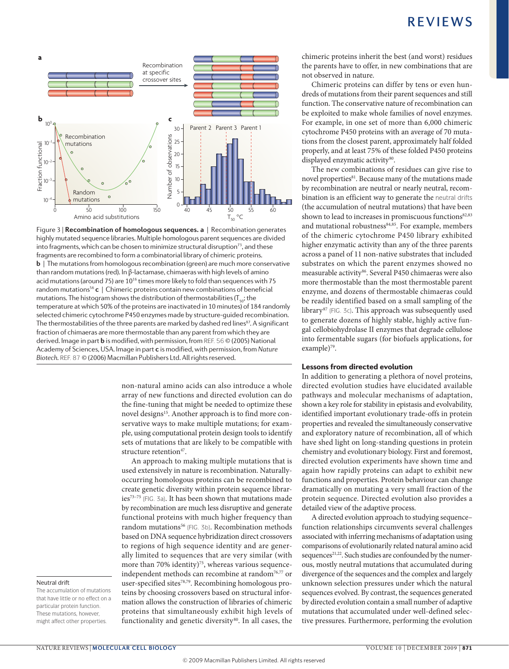

**Figure 3 | Recombination of homologous sequences. a | Recombination generates** highly mutated sequence libraries. Multiple homologous parent sequences are divided into fragments, which can be chosen to minimize structural disruption $73$ , and these fragments are recombined to form a combinatorial library of chimeric proteins. **b** | The mutations from homologous recombination (green) are much more conservative than random mutations (red). In β-lactamase, chimaeras with high levels of amino acid mutations (around 75) are  $10^{16}$  times more likely to fold than sequences with 75 random mutations56 **c** | Chimeric proteins contain new combinations of beneficial mutations. The histogram shows the distribution of thermostabilities  $(T_{\rm rot}$ ; the temperature at which 50% of the proteins are inactivated in 10 minutes) of 184 randomly selected chimeric cytochrome P450 enzymes made by structure-guided recombination. The thermostabilities of the three parents are marked by dashed red lines<sup>87</sup>. A significant fraction of chimaeras are more thermostable than any parent from which they are derived. Image in part **b** is modified, with permission, from REF. 56 © (2005) National Academy of Sciences, USA. Image in part **c** is modified, with permission, from *Nature Biotech.* REF. 87 © (2006) Macmillan Publishers Ltd. All rights reserved.

non-natural amino acids can also introduce a whole array of new functions and directed evolution can do the fine-tuning that might be needed to optimize these novel designs<sup>15</sup>. Another approach is to find more conservative ways to make multiple mutations; for example, using computational protein design tools to identify sets of mutations that are likely to be compatible with structure retention<sup>47</sup>.

An approach to making multiple mutations that is used extensively in nature is recombination. Naturallyoccurring homologous proteins can be recombined to create genetic diversity within protein sequence libraries73–75 (FIG. 3a). It has been shown that mutations made by recombination are much less disruptive and generate functional proteins with much higher frequency than random mutations<sup>56</sup> (FIG. 3b). Recombination methods based on DNA sequence hybridization direct crossovers to regions of high sequence identity and are generally limited to sequences that are very similar (with more than 70% identity)<sup>75</sup>, whereas various sequenceindependent methods can recombine at random<sup>76,77</sup> or user-specified sites<sup>78,79</sup>. Recombining homologous proteins by choosing crossovers based on structural information allows the construction of libraries of chimeric proteins that simultaneously exhibit high levels of functionality and genetic diversity<sup>80</sup>. In all cases, the chimeric proteins inherit the best (and worst) residues the parents have to offer, in new combinations that are not observed in nature.

Chimeric proteins can differ by tens or even hundreds of mutations from their parent sequences and still function. The conservative nature of recombination can be exploited to make whole families of novel enzymes. For example, in one set of more than 6,000 chimeric cytochrome P450 proteins with an average of 70 mutations from the closest parent, approximately half folded properly, and at least 75% of these folded P450 proteins displayed enzymatic activity<sup>80</sup>.

The new combinations of residues can give rise to novel properties<sup>81</sup>. Because many of the mutations made by recombination are neutral or nearly neutral, recombination is an efficient way to generate the neutral drifts (the accumulation of neutral mutations) that have been shown to lead to increases in promiscuous functions<sup>82,83</sup> and mutational robustness<sup>84,85</sup>. For example, members of the chimeric cytochrome P450 library exhibited higher enzymatic activity than any of the three parents across a panel of 11 non-native substrates that included substrates on which the parent enzymes showed no measurable activity<sup>86</sup>. Several P450 chimaeras were also more thermostable than the most thermostable parent enzyme, and dozens of thermostable chimaeras could be readily identified based on a small sampling of the library<sup>87</sup> (FIG. 3c). This approach was subsequently used to generate dozens of highly stable, highly active fungal cellobiohydrolase II enzymes that degrade cellulose into fermentable sugars (for biofuels applications, for example)<sup>79</sup>.

### Lessons from directed evolution

In addition to generating a plethora of novel proteins, directed evolution studies have elucidated available pathways and molecular mechanisms of adaptation, shown a key role for stability in epistasis and evolvability, identified important evolutionary trade-offs in protein properties and revealed the simultaneously conservative and exploratory nature of recombination, all of which have shed light on long-standing questions in protein chemistry and evolutionary biology. First and foremost, directed evolution experiments have shown time and again how rapidly proteins can adapt to exhibit new functions and properties. Protein behaviour can change dramatically on mutating a very small fraction of the protein sequence. Directed evolution also provides a detailed view of the adaptive process.

A directed evolution approach to studying sequence– function relationships circumvents several challenges associated with inferring mechanisms of adaptation using comparisons of evolutionarily related natural amino acid sequences<sup>21,22</sup>. Such studies are confounded by the numerous, mostly neutral mutations that accumulated during divergence of the sequences and the complex and largely unknown selection pressures under which the natural sequences evolved. by contrast, the sequences generated by directed evolution contain a small number of adaptive mutations that accumulated under well-defined selective pressures. Furthermore, performing the evolution

### Neutral drift

The accumulation of mutations that have little or no effect on a particular protein function. These mutations, however, might affect other properties.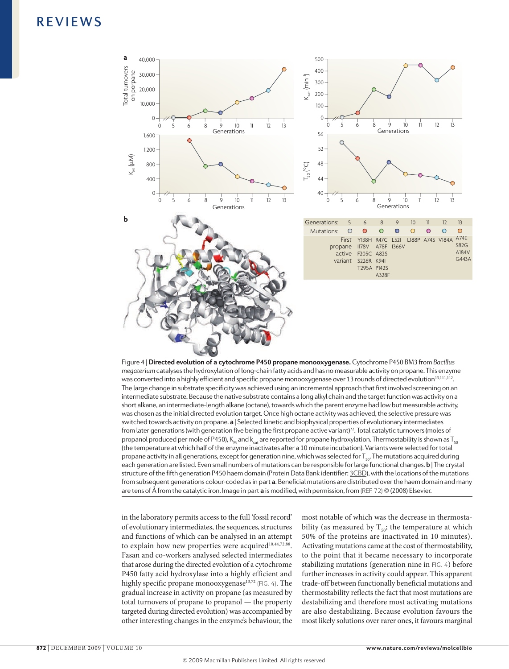

**Nature Reviews** | **Molecular Cell Biology** *megaterium* catalyses the hydroxylation of long-chain fatty acids and has no measurable activity on propane. This enzyme Figure 4 | **Directed evolution of a cytochrome P450 propane monooxygenase.** Cytochrome P450 BM3 from *Bacillus*  was converted into a highly efficient and specific propane monooxygenase over 13 rounds of directed evolution<sup>13,111,112</sup>. The large change in substrate specificity was achieved using an incremental approach that first involved screening on an intermediate substrate. Because the native substrate contains a long alkyl chain and the target function was activity on a short alkane, an intermediate-length alkane (octane), towards which the parent enzyme had low but measurable activity, was chosen as the initial directed evolution target. Once high octane activity was achieved, the selective pressure was switched towards activity on propane. **a** | Selected kinetic and biophysical properties of evolutionary intermediates from later generations (with generation five being the first propane active variant)<sup>72</sup>. Total catalytic turnovers (moles of propanol produced per mole of P450),  $K_M$  and  $k_{cm}$  are reported for propane hydroxylation. Thermostability is shown as  $T_{50}$ (the temperature at which half of the enzyme inactivates after a 10minute incubation). Variants were selected for total propane activity in all generations, except for generation nine, which was selected for T<sub>50</sub>. The mutations acquired during each generation are listed. Even small numbers of mutations can be responsible for large functional changes. **b** | The crystal structure of the fifth generation P450 haem domain (Protein Data Bank identifier: [3CBD\)](http://www.rcsb.org/pdb/explore/explore.do?structureId=3CBD#at), with the locations of the mutations from subsequent generations colour-coded as in part **a**. Beneficial mutations are distributed over the haem domain and many are tens of Å from the catalytic iron. Image in part **a** is modified, with permission, from (REF. 72) © (2008) Elsevier.

in the laboratory permits access to the full 'fossil record' of evolutionary intermediates, the sequences, structures and functions of which can be analysed in an attempt to explain how new properties were acquired<sup>10,44,72,88</sup>. Fasan and co-workers analysed selected intermediates that arose during the directed evolution of a cytochrome P450 fatty acid hydroxylase into a highly efficient and highly specific propane monooxygenase<sup>13,72</sup> (FIG. 4). The gradual increase in activity on propane (as measured by total turnovers of propane to propanol — the property targeted during directed evolution) was accompanied by other interesting changes in the enzyme's behaviour, the most notable of which was the decrease in thermostability (as measured by  $T_{50}$ ; the temperature at which 50% of the proteins are inactivated in 10 minutes). Activating mutations came at the cost of thermostability, to the point that it became necessary to incorporate stabilizing mutations (generation nine in FIG. 4) before further increases in activity could appear. This apparent trade-off between functionally beneficial mutations and thermostability reflects the fact that most mutations are destabilizing and therefore most activating mutations are also destabilizing. Because evolution favours the most likely solutions over rarer ones, it favours marginal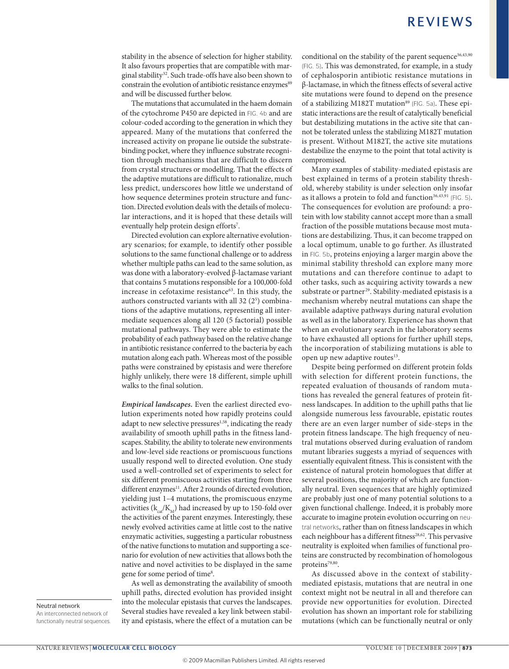stability in the absence of selection for higher stability. It also favours properties that are compatible with marginal stability<sup>32</sup>. Such trade-offs have also been shown to constrain the evolution of antibiotic resistance enzymes<sup>85</sup> and will be discussed further below.

The mutations that accumulated in the haem domain of the cytochrome P450 are depicted in FIG. 4b and are colour-coded according to the generation in which they appeared. Many of the mutations that conferred the increased activity on propane lie outside the substratebinding pocket, where they influence substrate recognition through mechanisms that are difficult to discern from crystal structures or modelling. That the effects of the adaptive mutations are difficult to rationalize, much less predict, underscores how little we understand of how sequence determines protein structure and function. Directed evolution deals with the details of molecular interactions, and it is hoped that these details will eventually help protein design efforts<sup>7</sup>.

Directed evolution can explore alternative evolutionary scenarios; for example, to identify other possible solutions to the same functional challenge or to address whether multiple paths can lead to the same solution, as was done with a laboratory-evolved β-lactamase variant that contains 5 mutations responsible for a 100,000-fold increase in cefotaxime resistance<sup>63</sup>. In this study, the authors constructed variants with all 32 (25 ) combinations of the adaptive mutations, representing all intermediate sequences along all 120 (5 factorial) possible mutational pathways. They were able to estimate the probability of each pathway based on the relative change in antibiotic resistance conferred to the bacteria by each mutation along each path. Whereas most of the possible paths were constrained by epistasis and were therefore highly unlikely, there were 18 different, simple uphill walks to the final solution.

*Empirical landscapes.* Even the earliest directed evolution experiments noted how rapidly proteins could adapt to new selective pressures<sup>1,58</sup>, indicating the ready availability of smooth uphill paths in the fitness landscapes. Stability, the ability to tolerate new environments and low-level side reactions or promiscuous functions usually respond well to directed evolution. One study used a well-controlled set of experiments to select for six different promiscuous activities starting from three different enzymes<sup>11</sup>. After 2 rounds of directed evolution, yielding just 1–4 mutations, the promiscuous enzyme activities  $(k_{\alpha}/K_{\mu})$  had increased by up to 150-fold over the activities of the parent enzymes. Interestingly, these newly evolved activities came at little cost to the native enzymatic activities, suggesting a particular robustness of the native functions to mutation and supporting a scenario for evolution of new activities that allows both the native and novel activities to be displayed in the same gene for some period of time<sup>8</sup>.

As well as demonstrating the availability of smooth uphill paths, directed evolution has provided insight into the molecular epistasis that curves the landscapes. Several studies have revealed a key link between stability and epistasis, where the effect of a mutation can be conditional on the stability of the parent sequence<sup>36,43,90</sup> (FIG. 5). This was demonstrated, for example, in a study of cephalosporin antibiotic resistance mutations in β-lactamase, in which the fitness effects of several active site mutations were found to depend on the presence of a stabilizing M182T mutation<sup>89</sup> (FIG. 5a). These epistatic interactions are the result of catalytically beneficial but destabilizing mutations in the active site that cannot be tolerated unless the stabilizing M182T mutation is present. Without M182T, the active site mutations destabilize the enzyme to the point that total activity is compromised.

Many examples of stability-mediated epistasis are best explained in terms of a protein stability threshold, whereby stability is under selection only insofar as it allows a protein to fold and function $36,43,91$  (FIG. 5). The consequences for evolution are profound: a protein with low stability cannot accept more than a small fraction of the possible mutations because most mutations are destabilizing. Thus, it can become trapped on a local optimum, unable to go further. As illustrated in FIG. 5b, proteins enjoying a larger margin above the minimal stability threshold can explore many more mutations and can therefore continue to adapt to other tasks, such as acquiring activity towards a new substrate or partner<sup>29</sup>. Stability-mediated epistasis is a mechanism whereby neutral mutations can shape the available adaptive pathways during natural evolution as well as in the laboratory. Experience has shown that when an evolutionary search in the laboratory seems to have exhausted all options for further uphill steps, the incorporation of stabilizing mutations is able to open up new adaptive routes<sup>13</sup>.

Despite being performed on different protein folds with selection for different protein functions, the repeated evaluation of thousands of random mutations has revealed the general features of protein fitness landscapes. In addition to the uphill paths that lie alongside numerous less favourable, epistatic routes there are an even larger number of side-steps in the protein fitness landscape. The high frequency of neutral mutations observed during evaluation of random mutant libraries suggests a myriad of sequences with essentially equivalent fitness. This is consistent with the existence of natural protein homologues that differ at several positions, the majority of which are functionally neutral. Even sequences that are highly optimized are probably just one of many potential solutions to a given functional challenge. Indeed, it is probably more accurate to imagine protein evolution occurring on neutral networks, rather than on fitness landscapes in which each neighbour has a different fitness<sup>28,62</sup>. This pervasive neutrality is exploited when families of functional proteins are constructed by recombination of homologous proteins<sup>79,80</sup>.

As discussed above in the context of stabilitymediated epistasis, mutations that are neutral in one context might not be neutral in all and therefore can provide new opportunities for evolution. Directed evolution has shown an important role for stabilizing mutations (which can be functionally neutral or only

### Neutral network

An interconnected network of functionally neutral sequences.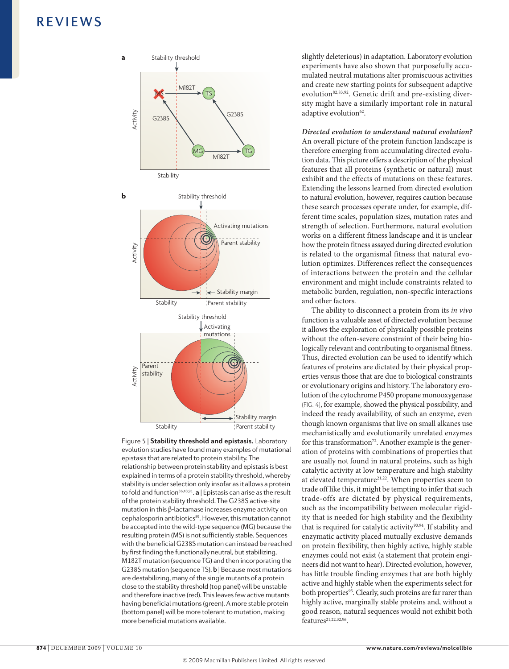

evolution studies have found many examples of mutational Figure 5 | **Stability threshold and epistasis.** Laboratory epistasis that are related to protein stability. The relationship between protein stability and epistasis is best explained in terms of a protein stability threshold, whereby stability is under selection only insofar as itallows a protein to fold and function<sup>36,43,91</sup>. **a** | Epistasis can arise as the result of the protein stability threshold. The G238S active-site mutation in this β-lactamase increases enzyme activity on cephalosporin antibiotics<sup>89</sup>. However, this mutation cannot be accepted into the wild-type sequence (MG) because the resulting protein (MS) is not sufficiently stable. Sequences with the beneficial G238S mutation can instead be reached by first finding the functionally neutral, but stabilizing, M182T mutation (sequence TG) and then incorporating the G238S mutation (sequence TS). **b** | Because most mutations are destabilizing, many of the single mutants of a protein close to the stability threshold (top panel) will be unstable and therefore inactive (red). This leaves few active mutants having beneficial mutations (green). A more stable protein (bottom panel) will be more tolerant to mutation, making more beneficial mutations available.

slightly deleterious) in adaptation. laboratory evolution experiments have also shown that purposefully accumulated neutral mutations alter promiscuous activities and create new starting points for subsequent adaptive evolution<sup>82,83,92</sup>. Genetic drift and pre-existing diversity might have a similarly important role in natural adaptive evolution<sup>62</sup>.

*Directed evolution to understand natural evolution?* An overall picture of the protein function landscape is therefore emerging from accumulating directed evolution data. This picture offers a description of the physical features that all proteins (synthetic or natural) must exhibit and the effects of mutations on these features. Extending the lessons learned from directed evolution to natural evolution, however, requires caution because these search processes operate under, for example, different time scales, population sizes, mutation rates and strength of selection. Furthermore, natural evolution works on a different fitness landscape and it is unclear how the protein fitness assayed during directed evolution is related to the organismal fitness that natural evolution optimizes. Differences reflect the consequences of interactions between the protein and the cellular environment and might include constraints related to metabolic burden, regulation, non-specific interactions and other factors.

The ability to disconnect a protein from its *in vivo* function is a valuable asset of directed evolution because it allows the exploration of physically possible proteins without the often-severe constraint of their being biologically relevant and contributing to organismal fitness. Thus, directed evolution can be used to identify which features of proteins are dictated by their physical properties versus those that are due to biological constraints or evolutionary origins and history. The laboratory evolution of the cytochrome P450 propane monooxygenase (FIG. 4), for example, showed the physical possibility, and indeed the ready availability, of such an enzyme, even though known organisms that live on small alkanes use mechanistically and evolutionarily unrelated enzymes for this transformation<sup>72</sup>. Another example is the generation of proteins with combinations of properties that are usually not found in natural proteins, such as high catalytic activity at low temperature and high stability at elevated temperature<sup>21,22</sup>. When properties seem to trade off like this, it might be tempting to infer that such trade-offs are dictated by physical requirements, such as the incompatibility between molecular rigidity that is needed for high stability and the flexibility that is required for catalytic activity<sup>93,94</sup>. If stability and enzymatic activity placed mutually exclusive demands on protein flexibility, then highly active, highly stable enzymes could not exist (a statement that protein engineers did not want to hear). Directed evolution, however, has little trouble finding enzymes that are both highly active and highly stable when the experiments select for both properties<sup>95</sup>. Clearly, such proteins are far rarer than highly active, marginally stable proteins and, without a good reason, natural sequences would not exhibit both features<sup>21,22,32,96</sup>.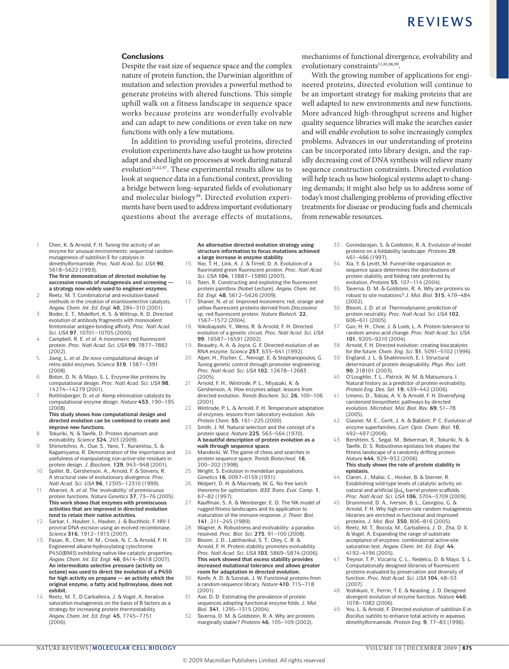### **Conclusions**

Despite the vast size of sequence space and the complex nature of protein function, the Darwinian algorithm of mutation and selection provides a powerful method to generate proteins with altered functions. This simple uphill walk on a fitness landscape in sequence space works because proteins are wonderfully evolvable and can adapt to new conditions or even take on new functions with only a few mutations.

In addition to providing useful proteins, directed evolution experiments have also taught us how proteins adapt and shed light on processes at work during natural evolution<sup>21,62,97</sup>. These experimental results allow us to look at sequence data in a functional context, providing a bridge between long-separated fields of evolutionary and molecular biology<sup>98</sup>. Directed evolution experiments have been used to address important evolutionary questions about the average effects of mutations, mechanisms of functional divergence, evolvability and evolutionary constraints<sup>11,85,96,99</sup>.

With the growing number of applications for engineered proteins, directed evolution will continue to be an important strategy for making proteins that are well adapted to new environments and new functions. More advanced high-throughput screens and higher quality sequence libraries will make the searches easier and will enable evolution to solve increasingly complex problems. Advances in our understanding of proteins can be incorporated into library design, and the rapidly decreasing cost of DNA synthesis will relieve many sequence construction constraints. Directed evolution will help teach us how biological systems adapt to changing demands; it might also help us to address some of today's most challenging problems of providing effective treatments for disease or producing fuels and chemicals from renewable resources.

1. Chen, K. & Arnold, F. H. Tuning the activity of an enzyme for unusual environments: sequential random mutagenesis of subtilisin E for catalysis in dimethylformamide. *Proc. Natl Acad. Sci. USA* **90**, 5618–5622 (1993).

**The first demonstration of directed evolution by**  successive rounds of mutagenesis and screening **a strategy now widely used to engineer enzymes.**

- 2. Reetz, M. T. Combinatorial and evolution-based methods in the creation of enantioselective catalysts. *Angew. Chem. Int. Ed. Engl.* **40**, 284–310 (2001).
- 3. Boder, E. T., Midelfort, K. S. & Wittrup, K. D. Directed evolution of antibody fragments with monovalent femtomolar antigen-binding affinity. *Proc. Natl Acad. Sci. USA* **97**, 10701–10705 (2000).
- 4. Campbell, R. E. *et al.* A monomeric red fluorescent protein. *Proc. Natl Acad. Sci. USA* **99**, 7877–7882 (2002).
- 5. Jiang, L. *et al. De novo* computational design of retro-aldol enzymes. *Science* **319**, 1387–1391 (2008).
- 6. Bolon, D. N. & Mayo, S. L. Enzyme-like proteins by computational design. *Proc. Natl Acad. Sci. USA* **98**, 14274–14279 (2001).
- 7. Rothlisberger, D. *et al.* Kemp elimination catalysts by computational enzyme design. *Nature* **453**, 190–195 (2008).

**This study shows how computational design and directed evolution can be combined to create and improve new functions.**<br>8. Tokuriki, N. & Tawfik, D. Protein dynamism and

- evolvability. *Science* **324**, 203 (2009).
- Shimotohno, A., Oue, S., Yano, T., Kuramitsu, S. & Kagamiyama, R. Demonstration of the importance and usefulness of manipulating non-active-site residues in protein design. *J. Biochem.* **129**, 943–948 (2001).
- 10. Spiller, B., Gershenson, A., Arnold, F. & Stevens, R. A structural view of evolutionary divergence. *Proc. Natl Acad. Sci. USA* **96**, 12305–12310 (1999).
- 11. Aharoni, A. *et al.* The 'evolvability' of promiscuous protein functions. *Nature Genetics* **37**, 73–76 (2005). **This work shows that enzymes with promiscuous activities that are improved in directed evolution tend to retain their native activities.**
- 12. Sarkar, I., Hauber, I., Hauber, J. & Buchholz, F. HIV-1 proviral DNA excision using an evolved recombinase. *Science* **316**, 1912–1915 (2007).
- 13. Fasan, R., Chen, M. M., Crook, N. C. & Arnold, F. H. Engineered alkane-hydroxylating cytochrome P450(BM3) exhibiting native-like catalytic properties. *Angew. Chem. Int. Ed. Engl.* **46**, 8414–8418 (2007). **An intermediate selective pressure (activity on octane) was used to direct the evolution of a P450 for high activity on propane — an activity which the original enzyme, a fatty acid hydroxylase, does not exhibit.**
- 14. Reetz, M. T., D Carballeira, J. & Vogel, A. Iterative saturation mutagenesis on the basis of B factors as a strategy for increasing protein thermostability. *Angew. Chem. Int. Ed. Engl.* **45**, 7745–7751 (2006).

#### **An alternative directed evolution strategy using structure information to focus mutations achieved a large increase in enzyme stability**.

- 15. Yoo, T. H., Link, A. J. & Tirrell, D. A. Evolution of a fluorinated green fluorescent protein. *Proc. Natl Acad. Sci. USA* **104**, 13887–13890 (2007).
- 16. Tsien, R. Constructing and exploiting the fluorescent protein paintbox (Nobel Lecture). *Angew. Chem. Int. Ed. Engl.* **48**, 5612–5626 (2009).
- Shaner, N. *et al.* Improved monomeric red, orange and yellow fluorescent proteins derived from *Discosoma* sp. red fluorescent protein. *Nature Biotech.* **22**, 1567–1572 (2004).
- 18. Yokobayashi, Y., Weiss, R. & Arnold, F. H. Directed evolution of a genetic circuit. *Proc. Natl Acad. Sci. USA* **99**, 16587–16591 (2002).
- Beaudry, A. A. & Joyce, G. F. Directed evolution of an RNA enzyme. *Science* **257**, 635–641 (1992).
- 20. Alper, H., Fischer, C., Nevoigt, E. & Stephanopoulos, G. Tuning genetic control through promoter engineering. *Proc. Natl Acad. Sci. USA* **102**, 12678–12683  $(2005)$
- 21. Arnold, F. H., Wintrode, P. L., Miyazaki, K. & Gershenson, A. How enzymes adapt: lessons from directed evolution. *Trends Biochem. Sci.* **26**, 100–106 (2001).
- 22. Wintrode, P. L. & Arnold, F. H. Temperature adaptation of enzymes: lessons from laboratory evolution. *Adv. Protein Chem.* **55**, 161–225 (2000).
- 23. Smith, J. M. Natural selection and the concept of a protein space. *Nature* **225**, 563–564 (1970). **A beautiful description of protein evolution as a walk through sequence space.**
- 24. Mandecki, W. The game of chess and searches in protein sequence space. *Trends Biotechnol.* **16**, 200–202 (1998).
- 25. Wright, S. Evolution in mendelian populations. *Genetics* **16**, 0097–0159 (1931).
- 26. Wolpert, D. H. & Macready, W. G. No free lunch theorems for optimization. *IEEE Trans. Evol. Comp.* **1**, 67–82 (1997).
- 27. Kauffman, S. A. & Weinberger, E. D. The NK model of rugged fitness landscapes and its application to maturation of the immune-response. *J. Theor. Biol.* **141**, 211–245 (1989).
- 28. Wagner, A. Robustness and evolvability: a paradox resolved. *Proc. Biol. Sci.* **275**, 91–100 (2008).
- 29. Bloom, J. D., Labthavikul, S. T., Otey, C. R. & Arnold, F. H. Protein stability promotes evolvability. *Proc. Natl Acad. Sci. USA* **103**, 5869–5874 (2006). **This work showed that excess stability provides increased mutational tolerance and allows greater room for adaptation in directed evolution.**
- 30. Keefe, A. D. & Szostak, J. W. Functional proteins from a random-sequence library. *Nature* **410**, 715–718 (2001).
- 31. Axe, D. D. Estimating the prevalence of protein sequences adopting functional enzyme folds. *J. Mol. Biol.* **341**, 1295–1315 (2004).
- 32. Taverna, D. M. & Goldstein, R. A. Why are proteins marginally stable? *Proteins* **46**, 105–109 (2002).
- 33. Govindarajan, S. & Goldstein, R. A. Evolution of model proteins on a foldability landscape. *Proteins* **29**, 461–466 (1997).
- 34. Xia, Y. & Levitt, M. Funnel-like organization in sequence space determines the distributions of protein stability and folding rate preferred by evolution. *Proteins* **55**, 107–114 (2004).
- 35. Taverna, D. M. & Goldstein, R. A. Why are proteins so robust to site mutations? *J. Mol. Biol.* **315**, 479–484 (2002).
- 36. Bloom, J. D. *et al.* Thermodynamic prediction of protein neutrality. *Proc. Natl Acad. Sci. USA* **102**, 606–611 (2005).
- 37. Guo, H. H., Choe, J. & Loeb, L. A. Protein tolerance to random amino acid change. *Proc. Natl Acad. Sci. USA* **101**, 9205–9210 (2004).
- 38. Arnold, F. H. Directed evolution: creating biocatalysts for the future. *Chem. Eng. Sci.* **51**, 5091–5102 (1996).
- 39. England, J. L. & Shakhnovich, E. I. Structural determinant of protein designability. *Phys. Rev. Lett.* **90**, 218101 (2003).
- 40. O'Loughlin, T. L., Patrick, W. M. & Matsumura, I. Natural history as a predictor of protein evolvability. *Protein Eng. Des. Sel.* **19**, 439–442 (2006).
- 41. Umeno, D., Tobias, A. V. & Arnold, F. H. Diversifying carotenoid biosynthetic pathways by directed evolution. *Microbiol. Mol. Biol. Rev.* **69**, 51–78 (2005).
- 42. Glasner, M. E., Gerlt, J. A. & Babbitt, P. C. Evolution of enzyme superfamilies. *Curr. Opin. Chem. Biol.* **10**, 492–497 (2006).
- 43. Bershtein, S., Segal, M., Bekerman, R., Tokuriki, N. & Tawfik, D. S. Robustness-epistasis link shapes the fitness landscape of a randomly drifting protein. *Nature* **444**, 929–932 (2006). **This study shows the role of protein stability in epistasis.**
- 44. Claren, J., Malisi, C., Hocker, B. & Sterner, R. Establishing wild-type levels of catalytic activity on natural and artificial (βα)<sub>8</sub>-barrel protein scaffolds. *Proc. Natl Acad. Sci. USA* **106**, 3704–3709 (2009).
- 45. Drummond, D. A., Iverson, B. L., Georgiou, G. & Arnold, F. H. Why high-error-rate random mutagenesis libraries are enriched in functional and improved proteins. *J. Mol. Biol.* **350**, 806–816 (2005).
- 46. Reetz, M. T., Bocola, M., Carballeira, J. D., Zha, D. X. & Vogel, A. Expanding the range of substrate acceptance of enzymes: combinatorial active-site saturation test. *Angew. Chem. Int. Ed. Engl.* **44**, 4192–4196 (2005).
- Treynor, T. P., Vizcarra, C. L., Nedelcu, D. & Mayo, S. L. Computationally designed libraries of fluorescent proteins evaluated by preservation and diversity of function. *Proc. Natl Acad. Sci. USA* **104**, 48–53 (2007).
- 48. Yoshikuni, Y., Ferrin, T. E. & Keasling, J. D. Designed divergent evolution of enzyme function. *Nature* **440**, 1078–1082 (2006).
- 49. You, L. & Arnold, F. Directed evolution of subtilisin E in *Bacillus subtilis* to enhance total activity in aqueous dimethylformamide. *Protein Eng.* **9**, 77–83 (1996).